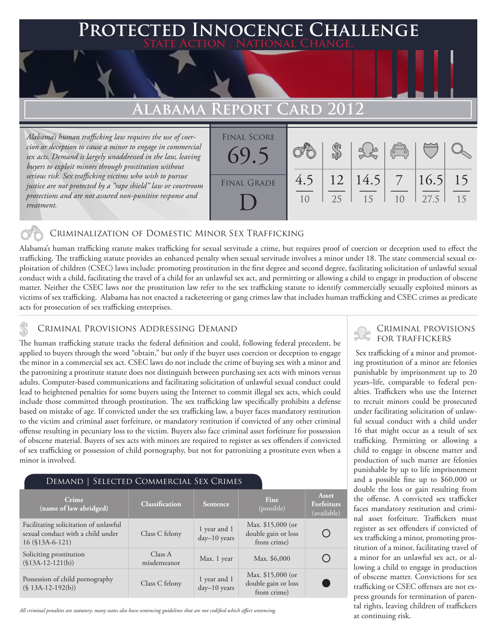# **Protected Innocence Challenge**

## **ALABAMA REPORT CARD**

*Alabama's human trafficking law requires the use of coercion or deception to cause a minor to engage in commercial sex acts. Demand is largely unaddressed in the law, leaving buyers to exploit minors through prostitution without serious risk. Sex trafficking victims who wish to pursue justice are not protected by a "rape shield" law or courtroom protections and are not assured non-punitive response and treatment.* 

| <b>FINAL SCORE</b><br>$69 -$ |     |    |            | $\sqrt{2}$ |      |    |
|------------------------------|-----|----|------------|------------|------|----|
| <b>FINAL GRADE</b>           | 4.5 | 12 | $ 14.5 $ 7 |            | 16.5 | 15 |
|                              |     | 25 | 15         | 10         | 27.5 | 15 |

## Criminalization of Domestic Minor Sex Trafficking

Alabama's human trafficking statute makes trafficking for sexual servitude a crime, but requires proof of coercion or deception used to effect the trafficking. The trafficking statute provides an enhanced penalty when sexual servitude involves a minor under 18. The state commercial sexual exploitation of children (CSEC) laws include: promoting prostitution in the first degree and second degree, facilitating solicitation of unlawful sexual conduct with a child, facilitating the travel of a child for an unlawful sex act, and permitting or allowing a child to engage in production of obscene matter. Neither the CSEC laws nor the prostitution law refer to the sex trafficking statute to identify commercially sexually exploited minors as victims of sex trafficking. Alabama has not enacted a racketeering or gang crimes law that includes human trafficking and CSEC crimes as predicate acts for prosecution of sex trafficking enterprises.

### Criminal Provisions Addressing Demand

The human trafficking statute tracks the federal definition and could, following federal precedent, be applied to buyers through the word "obtain," but only if the buyer uses coercion or deception to engage the minor in a commercial sex act. CSEC laws do not include the crime of buying sex with a minor and the patronizing a prostitute statute does not distinguish between purchasing sex acts with minors versus adults. Computer-based communications and facilitating solicitation of unlawful sexual conduct could lead to heightened penalties for some buyers using the Internet to commit illegal sex acts, which could include those committed through prostitution. The sex trafficking law specifically prohibits a defense based on mistake of age. If convicted under the sex trafficking law, a buyer faces mandatory restitution to the victim and criminal asset forfeiture, or mandatory restitution if convicted of any other criminal offense resulting in pecuniary loss to the victim. Buyers also face criminal asset forfeiture for possession of obscene material. Buyers of sex acts with minors are required to register as sex offenders if convicted of sex trafficking or possession of child pornography, but not for patronizing a prostitute even when a minor is involved.

| DEMAND   SELECTED COMMERCIAL SEX CRIMES                                                        |                        |                                       |                                                          |                                    |  |  |  |
|------------------------------------------------------------------------------------------------|------------------------|---------------------------------------|----------------------------------------------------------|------------------------------------|--|--|--|
| Crime<br>(name of law abridged)                                                                | <b>Classification</b>  | <b>Fine</b><br>Sentence<br>(possible) |                                                          | Asset<br>Forfeiture<br>(available) |  |  |  |
| Facilitating solicitation of unlawful<br>sexual conduct with a child under<br>16 (\$13A-6-121) | Class C felony         | 1 year and 1<br>$day-10$ years        | Max. \$15,000 (or<br>double gain or loss<br>from crime)  |                                    |  |  |  |
| Soliciting prostitution<br>$($13A-12-121(b))$                                                  | Class A<br>misdemeanor | Max. 1 year                           | Max. \$6,000                                             |                                    |  |  |  |
| Possession of child pornography<br>$(S13A-12-192(b))$                                          | Class C felony         | 1 year and 1<br>$day-10$ years        | Max. $$15,000$ (or<br>double gain or loss<br>from crime) |                                    |  |  |  |

*All criminal penalties are statutory; many states also have sentencing guidelines that are not codified which affect sentencing.* 

# Criminal provisions

 Sex trafficking of a minor and promoting prostitution of a minor are felonies punishable by imprisonment up to 20 years–life, comparable to federal penalties. Traffickers who use the Internet to recruit minors could be prosecuted under facilitating solicitation of unlawful sexual conduct with a child under 16 that might occur as a result of sex trafficking. Permitting or allowing a child to engage in obscene matter and production of such matter are felonies punishable by up to life imprisonment and a possible fine up to \$60,000 or double the loss or gain resulting from the offense. A convicted sex trafficker faces mandatory restitution and criminal asset forfeiture. Traffickers must register as sex offenders if convicted of sex trafficking a minor, promoting prostitution of a minor, facilitating travel of a minor for an unlawful sex act, or allowing a child to engage in production of obscene matter. Convictions for sex trafficking or CSEC offenses are not express grounds for termination of parental rights, leaving children of traffickers at continuing risk.